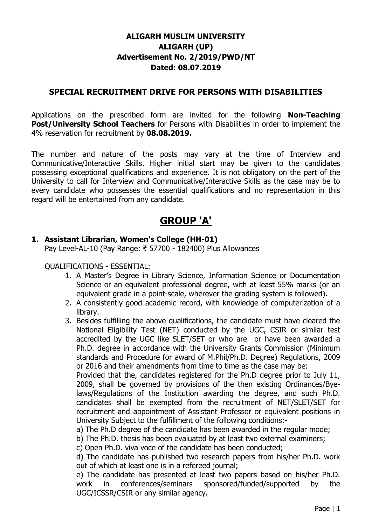# **ALIGARH MUSLIM UNIVERSITY ALIGARH (UP) Advertisement No. 2/2019/PWD/NT Dated: 08.07.2019**

### **SPECIAL RECRUITMENT DRIVE FOR PERSONS WITH DISABILITIES**

Applications on the prescribed form are invited for the following **Non-Teaching Post/University School Teachers** for Persons with Disabilities in order to implement the 4% reservation for recruitment by **08.08.2019.**

The number and nature of the posts may vary at the time of Interview and Communicative/Interactive Skills. Higher initial start may be given to the candidates possessing exceptional qualifications and experience. It is not obligatory on the part of the University to call for Interview and Communicative/Interactive Skills as the case may be to every candidate who possesses the essential qualifications and no representation in this regard will be entertained from any candidate.

# **GROUP 'A'**

#### **1. Assistant Librarian, Women's College (HH-01)**

Pay Level-AL-10 (Pay Range: ₹ 57700 - 182400) Plus Allowances

#### QUALIFICATIONS - ESSENTIAL:

- 1. A Master's Degree in Library Science, Information Science or Documentation Science or an equivalent professional degree, with at least 55% marks (or an equivalent grade in a point-scale, wherever the grading system is followed).
- 2. A consistently good academic record, with knowledge of computerization of a library.
- 3. Besides fulfilling the above qualifications, the candidate must have cleared the National Eligibility Test (NET) conducted by the UGC, CSIR or similar test accredited by the UGC like SLET/SET or who are or have been awarded a Ph.D. degree in accordance with the University Grants Commission (Minimum standards and Procedure for award of M.Phil/Ph.D. Degree) Regulations, 2009 or 2016 and their amendments from time to time as the case may be:

Provided that the, candidates registered for the Ph.D degree prior to July 11, 2009, shall be governed by provisions of the then existing Ordinances/Byelaws/Regulations of the Institution awarding the degree, and such Ph.D. candidates shall be exempted from the recruitment of NET/SLET/SET for recruitment and appointment of Assistant Professor or equivalent positions in University Subject to the fulfillment of the following conditions:-

a) The Ph.D degree of the candidate has been awarded in the regular mode;

b) The Ph.D. thesis has been evaluated by at least two external examiners;

c) Open Ph.D. viva voce of the candidate has been conducted;

d) The candidate has published two research papers from his/her Ph.D. work out of which at least one is in a refereed journal;

e) The candidate has presented at least two papers based on his/her Ph.D. work in conferences/seminars sponsored/funded/supported by the UGC/ICSSR/CSIR or any similar agency.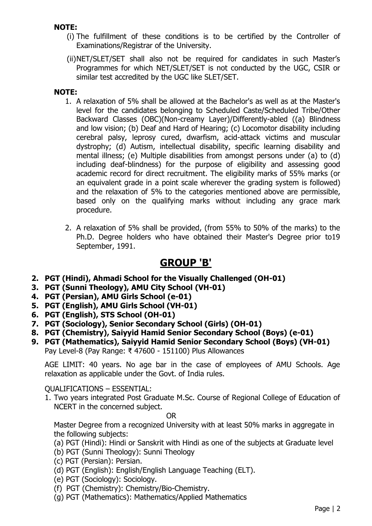#### **NOTE:**

- (i) The fulfillment of these conditions is to be certified by the Controller of Examinations/Registrar of the University.
- (ii)NET/SLET/SET shall also not be required for candidates in such Master's Programmes for which NET/SLET/SET is not conducted by the UGC, CSIR or similar test accredited by the UGC like SLET/SET.

#### **NOTE:**

- 1. A relaxation of 5% shall be allowed at the Bachelor's as well as at the Master's level for the candidates belonging to Scheduled Caste/Scheduled Tribe/Other Backward Classes (OBC)(Non-creamy Layer)/Differently-abled ((a) Blindness and low vision; (b) Deaf and Hard of Hearing; (c) Locomotor disability including cerebral palsy, leprosy cured, dwarfism, acid-attack victims and muscular dystrophy; (d) Autism, intellectual disability, specific learning disability and mental illness; (e) Multiple disabilities from amongst persons under (a) to (d) including deaf-blindness) for the purpose of eligibility and assessing good academic record for direct recruitment. The eligibility marks of 55% marks (or an equivalent grade in a point scale wherever the grading system is followed) and the relaxation of 5% to the categories mentioned above are permissible, based only on the qualifying marks without including any grace mark procedure.
- 2. A relaxation of 5% shall be provided, (from 55% to 50% of the marks) to the Ph.D. Degree holders who have obtained their Master's Degree prior to19 September, 1991.

# **GROUP 'B'**

- **2. PGT (Hindi), Ahmadi School for the Visually Challenged (OH-01)**
- **3. PGT (Sunni Theology), AMU City School (VH-01)**
- **4. PGT (Persian), AMU Girls School (e-01)**
- **5. PGT (English), AMU Girls School (VH-01)**
- **6. PGT (English), STS School (OH-01)**
- **7. PGT (Sociology), Senior Secondary School (Girls) (OH-01)**
- **8. PGT (Chemistry), Saiyyid Hamid Senior Secondary School (Boys) (e-01)**
- **9. PGT (Mathematics), Saiyyid Hamid Senior Secondary School (Boys) (VH-01)** Pay Level-8 (Pay Range: ₹ 47600 - 151100) Plus Allowances

AGE LIMIT: 40 years. No age bar in the case of employees of AMU Schools. Age relaxation as applicable under the Govt. of India rules.

QUALIFICATIONS – ESSENTIAL:

1. Two years integrated Post Graduate M.Sc. Course of Regional College of Education of NCERT in the concerned subject.

OR

Master Degree from a recognized University with at least 50% marks in aggregate in the following subjects:

- (a) PGT (Hindi): Hindi or Sanskrit with Hindi as one of the subjects at Graduate level
- (b) PGT (Sunni Theology): Sunni Theology
- (c) PGT (Persian): Persian.
- (d) PGT (English): English/English Language Teaching (ELT).
- (e) PGT (Sociology): Sociology.
- (f) PGT (Chemistry): Chemistry/Bio-Chemistry.
- (g) PGT (Mathematics): Mathematics/Applied Mathematics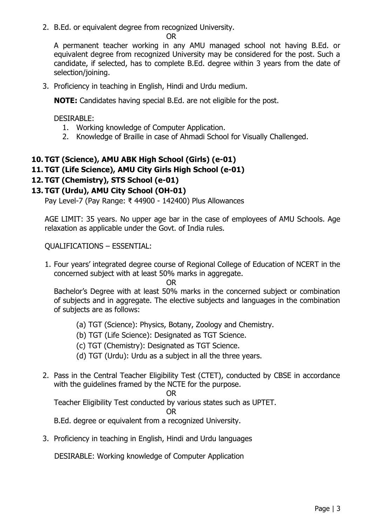2. B.Ed. or equivalent degree from recognized University.

```
OR
```
A permanent teacher working in any AMU managed school not having B.Ed. or equivalent degree from recognized University may be considered for the post. Such a candidate, if selected, has to complete B.Ed. degree within 3 years from the date of selection/joining.

3. Proficiency in teaching in English, Hindi and Urdu medium.

**NOTE:** Candidates having special B.Ed. are not eligible for the post.

DESIRABLE:

- 1. Working knowledge of Computer Application.
- 2. Knowledge of Braille in case of Ahmadi School for Visually Challenged.

# **10. TGT (Science), AMU ABK High School (Girls) (e-01)**

# **11. TGT (Life Science), AMU City Girls High School (e-01)**

# **12. TGT (Chemistry), STS School (e-01)**

# **13. TGT (Urdu), AMU City School (OH-01)**

Pay Level-7 (Pay Range: ₹ 44900 - 142400) Plus Allowances

AGE LIMIT: 35 years. No upper age bar in the case of employees of AMU Schools. Age relaxation as applicable under the Govt. of India rules.

QUALIFICATIONS – ESSENTIAL:

1. Four years' integrated degree course of Regional College of Education of NCERT in the concerned subject with at least 50% marks in aggregate.

OR

Bachelor's Degree with at least 50% marks in the concerned subject or combination of subjects and in aggregate. The elective subjects and languages in the combination of subjects are as follows:

- (a) TGT (Science): Physics, Botany, Zoology and Chemistry.
- (b) TGT (Life Science): Designated as TGT Science.
- (c) TGT (Chemistry): Designated as TGT Science.
- (d) TGT (Urdu): Urdu as a subject in all the three years.
- 2. Pass in the Central Teacher Eligibility Test (CTET), conducted by CBSE in accordance with the guidelines framed by the NCTE for the purpose.

OR

Teacher Eligibility Test conducted by various states such as UPTET.

#### OR

B.Ed. degree or equivalent from a recognized University.

3. Proficiency in teaching in English, Hindi and Urdu languages

DESIRABLE: Working knowledge of Computer Application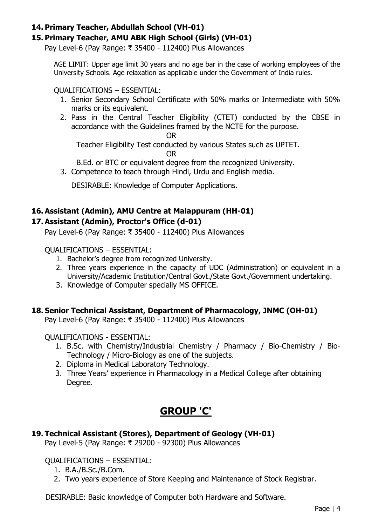#### **14. Primary Teacher, Abdullah School (VH-01)**

#### **15. Primary Teacher, AMU ABK High School (Girls) (VH-01)**

Pay Level-6 (Pay Range: ₹ 35400 - 112400) Plus Allowances

AGE LIMIT: Upper age limit 30 years and no age bar in the case of working employees of the University Schools. Age relaxation as applicable under the Government of India rules.

QUALIFICATIONS – ESSENTIAL:

- 1. Senior Secondary School Certificate with 50% marks or Intermediate with 50% marks or its equivalent.
- 2. Pass in the Central Teacher Eligibility (CTET) conducted by the CBSE in accordance with the Guidelines framed by the NCTE for the purpose.

OR

Teacher Eligibility Test conducted by various States such as UPTET. OR

B.Ed. or BTC or equivalent degree from the recognized University.

3. Competence to teach through Hindi, Urdu and English media.

DESIRABLE: Knowledge of Computer Applications.

# **16. Assistant (Admin), AMU Centre at Malappuram (HH-01)**

#### **17. Assistant (Admin), Proctor's Office (d-01)**

Pay Level-6 (Pay Range: ₹ 35400 - 112400) Plus Allowances

QUALIFICATIONS – ESSENTIAL:

- 1. Bachelor's degree from recognized University.
- 2. Three years experience in the capacity of UDC (Administration) or equivalent in a University/Academic Institution/Central Govt./State Govt./Government undertaking.
- 3. Knowledge of Computer specially MS OFFICE.

#### **18. Senior Technical Assistant, Department of Pharmacology, JNMC (OH-01)**

Pay Level-6 (Pay Range: ₹ 35400 - 112400) Plus Allowances

QUALIFICATIONS - ESSENTIAL:

- 1. B.Sc. with Chemistry/Industrial Chemistry / Pharmacy / Bio-Chemistry / Bio-Technology / Micro-Biology as one of the subjects.
- 2. Diploma in Medical Laboratory Technology.
- 3. Three Years' experience in Pharmacology in a Medical College after obtaining Degree.

# **GROUP 'C'**

# **19. Technical Assistant (Stores), Department of Geology (VH-01)**

Pay Level-5 (Pay Range: ₹ 29200 - 92300) Plus Allowances

QUALIFICATIONS – ESSENTIAL:

- 1. B.A./B.Sc./B.Com.
- 2. Two years experience of Store Keeping and Maintenance of Stock Registrar.

DESIRABLE: Basic knowledge of Computer both Hardware and Software.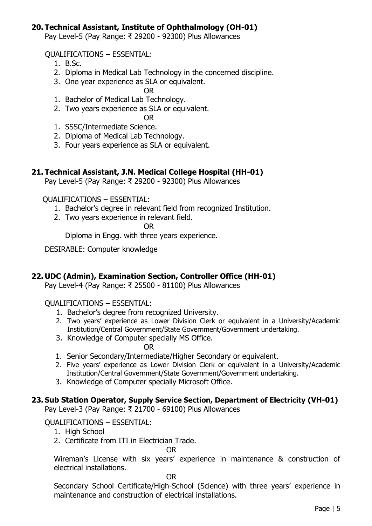#### **20. Technical Assistant, Institute of Ophthalmology (OH-01)**

Pay Level-5 (Pay Range: ₹ 29200 - 92300) Plus Allowances

QUALIFICATIONS – ESSENTIAL:

- 1. B.Sc.
- 2. Diploma in Medical Lab Technology in the concerned discipline.
- 3. One year experience as SLA or equivalent.

OR

- 1. Bachelor of Medical Lab Technology.
- 2. Two years experience as SLA or equivalent.
	- OR
- 1. SSSC/Intermediate Science.
- 2. Diploma of Medical Lab Technology.
- 3. Four years experience as SLA or equivalent.

#### **21. Technical Assistant, J.N. Medical College Hospital (HH-01)**

Pay Level-5 (Pay Range: ₹ 29200 - 92300) Plus Allowances

QUALIFICATIONS – ESSENTIAL:

- 1. Bachelor's degree in relevant field from recognized Institution.
- 2. Two years experience in relevant field.
	- OR

Diploma in Engg. with three years experience.

DESIRABLE: Computer knowledge

#### **22. UDC (Admin), Examination Section, Controller Office (HH-01)**

Pay Level-4 (Pay Range: ₹ 25500 - 81100) Plus Allowances

#### QUALIFICATIONS – ESSENTIAL:

- 1. Bachelor's degree from recognized University.
- 2. Two years' experience as Lower Division Clerk or equivalent in a University/Academic Institution/Central Government/State Government/Government undertaking.
- 3. Knowledge of Computer specially MS Office.
	- OR
- 1. Senior Secondary/Intermediate/Higher Secondary or equivalent.
- 2. Five years' experience as Lower Division Clerk or equivalent in a University/Academic Institution/Central Government/State Government/Government undertaking.
- 3. Knowledge of Computer specially Microsoft Office.

#### **23. Sub Station Operator, Supply Service Section, Department of Electricity (VH-01)**

Pay Level-3 (Pay Range: ₹ 21700 - 69100) Plus Allowances

#### QUALIFICATIONS – ESSENTIAL:

- 1. High School
- 2. Certificate from ITI in Electrician Trade.

OR

Wireman's License with six years' experience in maintenance & construction of electrical installations.

OR

Secondary School Certificate/High-School (Science) with three years' experience in maintenance and construction of electrical installations.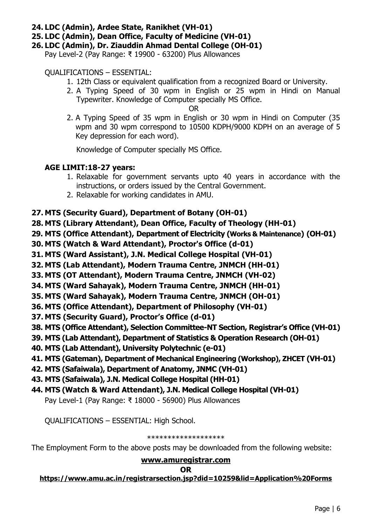#### **24. LDC (Admin), Ardee State, Ranikhet (VH-01)**

**25. LDC (Admin), Dean Office, Faculty of Medicine (VH-01)**

**26. LDC (Admin), Dr. Ziauddin Ahmad Dental College (OH-01)**

Pay Level-2 (Pay Range: ₹ 19900 - 63200) Plus Allowances

#### QUALIFICATIONS – ESSENTIAL:

- 1. 12th Class or equivalent qualification from a recognized Board or University.
- 2. A Typing Speed of 30 wpm in English or 25 wpm in Hindi on Manual Typewriter. Knowledge of Computer specially MS Office.

OR

2. A Typing Speed of 35 wpm in English or 30 wpm in Hindi on Computer (35 wpm and 30 wpm correspond to 10500 KDPH/9000 KDPH on an average of 5 Key depression for each word).

Knowledge of Computer specially MS Office.

#### **AGE LIMIT:18-27 years:**

- 1. Relaxable for government servants upto 40 years in accordance with the instructions, or orders issued by the Central Government.
- 2. Relaxable for working candidates in AMU.

### **27. MTS (Security Guard), Department of Botany (OH-01)**

**28. MTS (Library Attendant), Dean Office, Faculty of Theology (HH-01)**

**29. MTS (Office Attendant), Department of Electricity (Works & Maintenance) (OH-01)**

- **30. MTS (Watch & Ward Attendant), Proctor's Office (d-01)**
- **31. MTS (Ward Assistant), J.N. Medical College Hospital (VH-01)**
- **32. MTS (Lab Attendant), Modern Trauma Centre, JNMCH (HH-01)**
- **33. MTS (OT Attendant), Modern Trauma Centre, JNMCH (VH-02)**
- **34. MTS (Ward Sahayak), Modern Trauma Centre, JNMCH (HH-01)**
- **35. MTS (Ward Sahayak), Modern Trauma Centre, JNMCH (OH-01)**
- **36. MTS (Office Attendant), Department of Philosophy (VH-01)**
- **37. MTS (Security Guard), Proctor's Office (d-01)**
- **38. MTS (Office Attendant), Selection Committee-NT Section, Registrar's Office (VH-01)**
- **39. MTS (Lab Attendant), Department of Statistics & Operation Research (OH-01)**
- **40. MTS (Lab Attendant), University Polytechnic (e-01)**
- **41. MTS (Gateman), Department of Mechanical Engineering (Workshop), ZHCET (VH-01)**
- **42. MTS (Safaiwala), Department of Anatomy, JNMC (VH-01)**
- **43. MTS (Safaiwala), J.N. Medical College Hospital (HH-01)**
- **44. MTS (Watch & Ward Attendant), J.N. Medical College Hospital (VH-01)**

Pay Level-1 (Pay Range: ₹ 18000 - 56900) Plus Allowances

QUALIFICATIONS – ESSENTIAL: High School.

#### \*\*\*\*\*\*\*\*\*\*\*\*\*\*\*\*\*\*\*

The Employment Form to the above posts may be downloaded from the following website:

#### **[www.amuregistrar.com](http://www.amuregistrar.com/)**

#### **OR**

#### **<https://www.amu.ac.in/registrarsection.jsp?did=10259&lid=Application%20Forms>**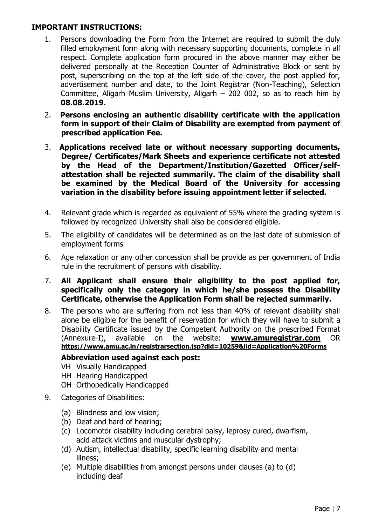#### **IMPORTANT INSTRUCTIONS:**

- 1. Persons downloading the Form from the Internet are required to submit the duly filled employment form along with necessary supporting documents, complete in all respect. Complete application form procured in the above manner may either be delivered personally at the Reception Counter of Administrative Block or sent by post, superscribing on the top at the left side of the cover, the post applied for, advertisement number and date, to the Joint Registrar (Non-Teaching), Selection Committee, Aligarh Muslim University, Aligarh – 202 002, so as to reach him by **08.08.2019.**
- 2. **Persons enclosing an authentic disability certificate with the application form in support of their Claim of Disability are exempted from payment of prescribed application Fee.**
- 3. **Applications received late or without necessary supporting documents, Degree/ Certificates/Mark Sheets and experience certificate not attested by the Head of the Department/Institution/Gazetted Officer/selfattestation shall be rejected summarily. The claim of the disability shall be examined by the Medical Board of the University for accessing variation in the disability before issuing appointment letter if selected.**
- 4. Relevant grade which is regarded as equivalent of 55% where the grading system is followed by recognized University shall also be considered eligible.
- 5. The eligibility of candidates will be determined as on the last date of submission of employment forms
- 6. Age relaxation or any other concession shall be provide as per government of India rule in the recruitment of persons with disability.
- 7. **All Applicant shall ensure their eligibility to the post applied for, specifically only the category in which he/she possess the Disability Certificate, otherwise the Application Form shall be rejected summarily.**
- 8. The persons who are suffering from not less than 40% of relevant disability shall alone be eligible for the benefit of reservation for which they will have to submit a Disability Certificate issued by the Competent Authority on the prescribed Format (Annexure-I), available on the website: **www.amuregistrar.com** OR **<https://www.amu.ac.in/registrarsection.jsp?did=10259&lid=Application%20Forms>**

### **Abbreviation used against each post:**

- VH Visually Handicapped
- HH Hearing Handicapped
- OH Orthopedically Handicapped
- 9. Categories of Disabilities:
	- (a) Blindness and low vision;
	- (b) Deaf and hard of hearing;
	- (c) Locomotor disability including cerebral palsy, leprosy cured, dwarfism, acid attack victims and muscular dystrophy;
	- (d) Autism, intellectual disability, specific learning disability and mental illness;
	- (e) Multiple disabilities from amongst persons under clauses (a) to (d) including deaf